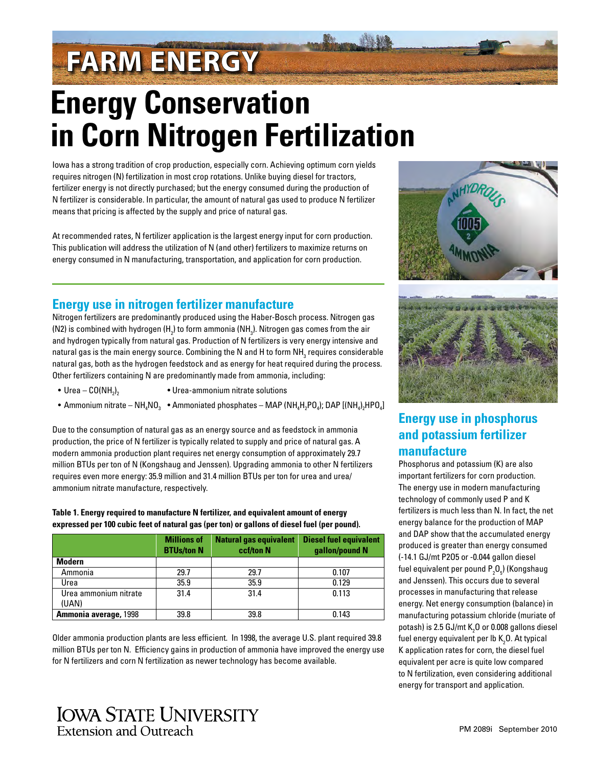# **FARM ENERGY**

## **Energy Conservation in Corn Nitrogen Fertilization**

Iowa has a strong tradition of crop production, especially corn. Achieving optimum corn yields requires nitrogen (N) fertilization in most crop rotations. Unlike buying diesel for tractors, fertilizer energy is not directly purchased; but the energy consumed during the production of N fertilizer is considerable. In particular, the amount of natural gas used to produce N fertilizer means that pricing is affected by the supply and price of natural gas.

At recommended rates, N fertilizer application is the largest energy input for corn production. This publication will address the utilization of N (and other) fertilizers to maximize returns on energy consumed in N manufacturing, transportation, and application for corn production.

#### **Energy use in nitrogen fertilizer manufacture**

Nitrogen fertilizers are predominantly produced using the Haber-Bosch process. Nitrogen gas (N2) is combined with hydrogen (H<sub>2</sub>) to form ammonia (NH<sub>3</sub>). Nitrogen gas comes from the air and hydrogen typically from natural gas. Production of N fertilizers is very energy intensive and natural gas is the main energy source. Combining the N and H to form NH $_{\tiny 3}$  requires considerable natural gas, both as the hydrogen feedstock and as energy for heat required during the process. Other fertilizers containing N are predominantly made from ammonia, including:

- Urea  $CO(NH_2)$ , Urea-ammonium nitrate solutions
- Ammonium nitrate NH<sub>4</sub>NO<sub>3</sub> Ammoniated phosphates MAP (NH<sub>4</sub>H<sub>2</sub>PO<sub>4</sub>); DAP [(NH<sub>4</sub>)<sub>2</sub>HPO<sub>4</sub>]

Due to the consumption of natural gas as an energy source and as feedstock in ammonia production, the price of N fertilizer is typically related to supply and price of natural gas. A modern ammonia production plant requires net energy consumption of approximately 29.7 million BTUs per ton of N (Kongshaug and Jenssen). Upgrading ammonia to other N fertilizers requires even more energy: 35.9 million and 31.4 million BTUs per ton for urea and urea/ ammonium nitrate manufacture, respectively.

**Table 1. Energy required to manufacture N fertilizer, and equivalent amount of energy expressed per 100 cubic feet of natural gas (per ton) or gallons of diesel fuel (per pound).**

|                       | <b>Millions of</b><br><b>BTUs/ton N</b> | <b>Natural gas equivalent</b><br>ccf/ton N | <b>Diesel fuel equivalent</b><br>gallon/pound N |
|-----------------------|-----------------------------------------|--------------------------------------------|-------------------------------------------------|
| <b>Modern</b>         |                                         |                                            |                                                 |
| Ammonia               | 29.7                                    | 29.7                                       | 0.107                                           |
| Urea                  | 35.9                                    | 35.9                                       | 0.129                                           |
| Urea ammonium nitrate | 31.4                                    | 31.4                                       | 0.113                                           |
| (UAN)                 |                                         |                                            |                                                 |
| Ammonia average, 1998 | 39.8                                    | 39.8                                       | 0.143                                           |

Older ammonia production plants are less efficient. In 1998, the average U.S. plant required 39.8 million BTUs per ton N. Efficiency gains in production of ammonia have improved the energy use for N fertilizers and corn N fertilization as newer technology has become available.





## **Energy use in phosphorus and potassium fertilizer manufacture**

Phosphorus and potassium (K) are also important fertilizers for corn production. The energy use in modern manufacturing technology of commonly used P and K fertilizers is much less than N. In fact, the net energy balance for the production of MAP and DAP show that the accumulated energy produced is greater than energy consumed (-14.1 GJ/mt P2O5 or -0.044 gallon diesel fuel equivalent per pound  $\mathsf{P}_\mathsf{2}\mathsf{O}_\mathsf{5}$ ) (Kongshaug and Jenssen). This occurs due to several processes in manufacturing that release energy. Net energy consumption (balance) in manufacturing potassium chloride (muriate of potash) is 2.5 GJ/mt K $_{\textrm{\tiny{2}}}$ O or 0.008 gallons diesel fuel energy equivalent per lb  $\mathsf{K}_{\mathsf{2}}\mathsf{0}.$  At typical K application rates for corn, the diesel fuel equivalent per acre is quite low compared to N fertilization, even considering additional energy for transport and application.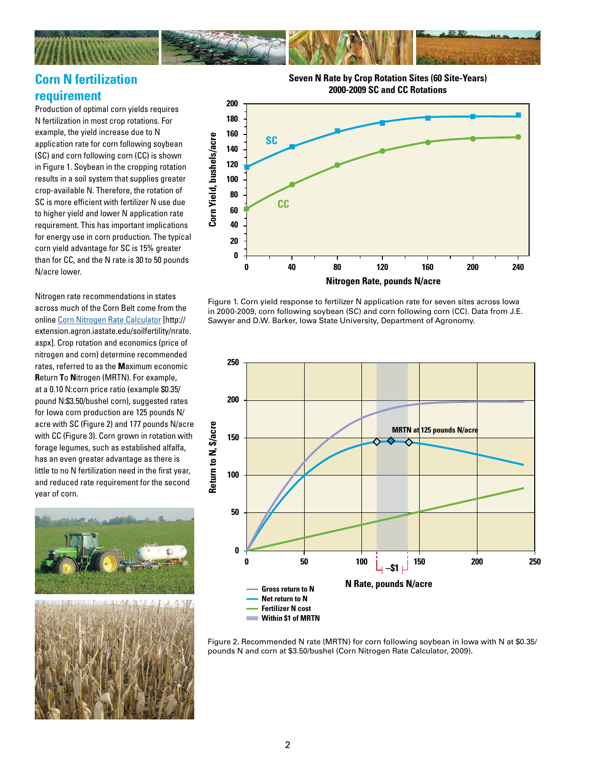

### **Corn N fertilization requirement**

Production of optimal corn yields requires N fertilization in most crop rotations. For example, the yield increase due to N application rate for corn following soybean (SC) and corn following corn (CC) is shown in Figure 1. Soybean in the cropping rotation results in a soil system that supplies greater crop-available N. Therefore, the rotation of SC is more efficient with fertilizer N use due to higher yield and lower N application rate requirement. This has important implications for energy use in corn production. The typical corn yield advantage for SC is 15% greater than for CC, and the N rate is 30 to 50 pounds N/acre lower.

Nitrogen rate recommendations in states across much of the Corn Belt come from the online [Corn Nitrogen Rate Calculator](http://extension.agron.iastate.edu/soilfertility/nrate.aspx) [http:// extension.agron.iastate.edu/soilfertility/nrate. aspx]. Crop rotation and economics (price of nitrogen and corn) determine recommended rates, referred to as the **M**aximum economic **R**eturn **T**o **N**itrogen (MRTN). For example, at a 0.10 N:corn price ratio (example \$0.35/ pound N:\$3.50/bushel corn), suggested rates for Iowa corn production are 125 pounds N/ acre with SC (Figure 2) and 177 pounds N/acre with CC (Figure 3). Corn grown in rotation with forage legumes, such as established alfalfa, has an even greater advantage as there is little to no N fertilization need in the first year, and reduced rate requirement for the second year of corn.



**Seven N Rate by Crop Rotation Sites (60 Site-Years) 2000-2009 SC and CC Rotations**



Figure 1. Corn yield response to fertilizer N application rate for seven sites across Iowa in 2000-2009, corn following soybean (SC) and corn following corn (CC). Data from J.E. Sawyer and D.W. Barker, Iowa State University, Department of Agronomy.



Figure 2. Recommended N rate (MRTN) for corn following soybean in Iowa with N at \$0.35/ pounds N and corn at \$3.50/bushel (Corn Nitrogen Rate Calculator, 2009).